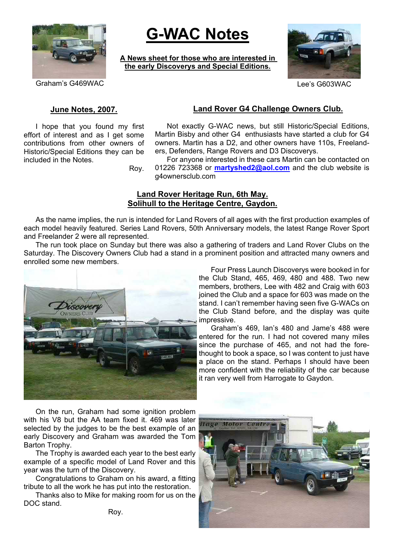

# **G-WAC Notes**

**A News sheet for those who are interested in the early Discoverys and Special Editions.**



Graham's G469WAC **CONSERVING** CONSERVERS CONSERVERS CONSUMING Lee's G603WAC

# **June Notes, 2007.**

I hope that you found my first effort of interest and as I get some contributions from other owners of Historic/Special Editions they can be included in the Notes.

# **Land Rover G4 Challenge Owners Club.**

Not exactly G-WAC news, but still Historic/Special Editions, Martin Bisby and other G4 enthusiasts have started a club for G4 owners. Martin has a D2, and other owners have 110s, Freelanders, Defenders, Range Rovers and D3 Discoverys.

Roy.

For anyone interested in these cars Martin can be contacted on 01226 723368 or **martyshed2@aol.com** and the club website is g4ownersclub.com

# **Land Rover Heritage Run, 6th May. Solihull to the Heritage Centre, Gaydon.**

As the name implies, the run is intended for Land Rovers of all ages with the first production examples of each model heavily featured. Series Land Rovers, 50th Anniversary models, the latest Range Rover Sport and Freelander 2 were all represented.

The run took place on Sunday but there was also a gathering of traders and Land Rover Clubs on the Saturday. The Discovery Owners Club had a stand in a prominent position and attracted many owners and enrolled some new members.



Four Press Launch Discoverys were booked in for the Club Stand, 465, 469, 480 and 488. Two new members, brothers, Lee with 482 and Craig with 603 joined the Club and a space for 603 was made on the stand. I can't remember having seen five G-WACs on the Club Stand before, and the display was quite impressive.

Graham's 469, Ian's 480 and Jame's 488 were entered for the run. I had not covered many miles since the purchase of 465, and not had the forethought to book a space, so I was content to just have a place on the stand. Perhaps I should have been more confident with the reliability of the car because it ran very well from Harrogate to Gaydon.

On the run, Graham had some ignition problem with his V8 but the AA team fixed it. 469 was later selected by the judges to be the best example of an early Discovery and Graham was awarded the Tom Barton Trophy.

The Trophy is awarded each year to the best early example of a specific model of Land Rover and this year was the turn of the Discovery.

Congratulations to Graham on his award, a fitting tribute to all the work he has put into the restoration.

Thanks also to Mike for making room for us on the DOC stand.

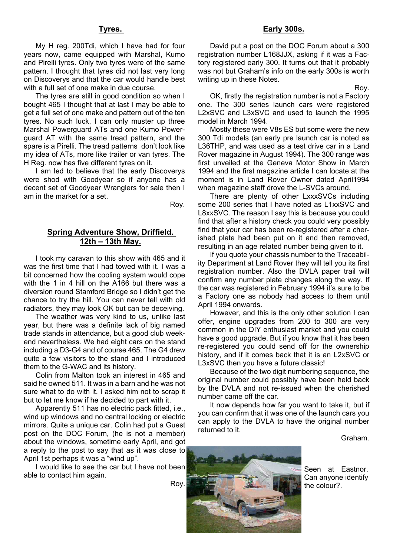#### **Tyres.**

My H reg. 200Tdi, which I have had for four years now, came equipped with Marshal, Kumo and Pirelli tyres. Only two tyres were of the same pattern. I thought that tyres did not last very long on Discoverys and that the car would handle best with a full set of one make in due course.

The tyres are still in good condition so when I bought 465 I thought that at last I may be able to get a full set of one make and pattern out of the ten tyres. No such luck, I can only muster up three Marshal Powerguard ATs and one Kumo Powerguard AT with the same tread pattern, and the spare is a Pirelli. The tread patterns don't look like my idea of ATs, more like trailer or van tyres. The H Reg. now has five different tyres on it.

I am led to believe that the early Discoverys were shod with Goodyear so if anyone has a decent set of Goodyear Wranglers for sale then I am in the market for a set.

Roy.

## **Spring Adventure Show, Driffield. 12th – 13th May.**

I took my caravan to this show with 465 and it was the first time that I had towed with it. I was a bit concerned how the cooling system would cope with the 1 in 4 hill on the A166 but there was a diversion round Stamford Bridge so I didn't get the chance to try the hill. You can never tell with old radiators, they may look OK but can be deceiving.

The weather was very kind to us, unlike last year, but there was a definite lack of big named trade stands in attendance, but a good club weekend nevertheless. We had eight cars on the stand including a D3-G4 and of course 465. The G4 drew quite a few visitors to the stand and I introduced them to the G-WAC and its history.

Colin from Malton took an interest in 465 and said he owned 511. It was in a barn and he was not sure what to do with it. I asked him not to scrap it but to let me know if he decided to part with it.

Apparently 511 has no electric pack fitted, i.e., wind up windows and no central locking or electric mirrors. Quite a unique car. Colin had put a Guest post on the DOC Forum, (he is not a member) about the windows, sometime early April, and got a reply to the post to say that as it was close to April 1st perhaps it was a "wind up".

I would like to see the car but I have not been able to contact him again.

Roy.

### **Early 300s.**

David put a post on the DOC Forum about a 300 registration number L168JJX, asking if it was a Factory registered early 300. It turns out that it probably was not but Graham's info on the early 300s is worth writing up in these Notes.

Roy. OK, firstly the registration number is not a Factory one. The 300 series launch cars were registered L2xSVC and L3xSVC and used to launch the 1995 model in March 1994.

Mostly these were V8s ES but some were the new 300 Tdi models (an early pre launch car is noted as L36THP, and was used as a test drive car in a Land Rover magazine in August 1994). The 300 range was first unveiled at the Geneva Motor Show in March 1994 and the first magazine article I can locate at the moment is in Land Rover Owner dated April1994 when magazine staff drove the L-SVCs around.

There are plenty of other LxxxSVCs including some 200 series that I have noted as L1xxSVC and L8xxSVC. The reason I say this is because you could find that after a history check you could very possibly find that your car has been re-registered after a cherished plate had been put on it and then removed, resulting in an age related number being given to it.

If you quote your chassis number to the Traceability Department at Land Rover they will tell you its first registration number. Also the DVLA paper trail will confirm any number plate changes along the way. If the car was registered in February 1994 it's sure to be a Factory one as nobody had access to them until April 1994 onwards.

However, and this is the only other solution I can offer, engine upgrades from 200 to 300 are very common in the DIY enthusiast market and you could have a good upgrade. But if you know that it has been re-registered you could send off for the ownership history, and if it comes back that it is an L2xSVC or L3xSVC then you have a future classic!

Because of the two digit numbering sequence, the original number could possibly have been held back by the DVLA and not re-issued when the cherished number came off the car.

It now depends how far you want to take it, but if you can confirm that it was one of the launch cars you can apply to the DVLA to have the original number returned to it.

Graham.



Seen at Eastnor. Can anyone identify the colour?.